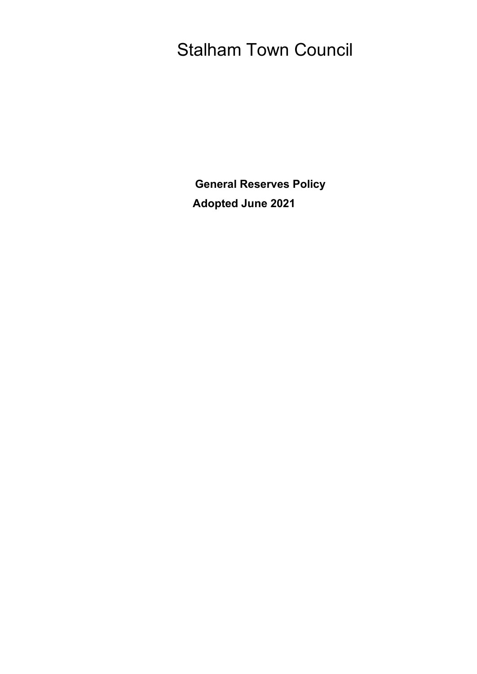# Stalham Town Council

**General Reserves Policy Adopted June 2021**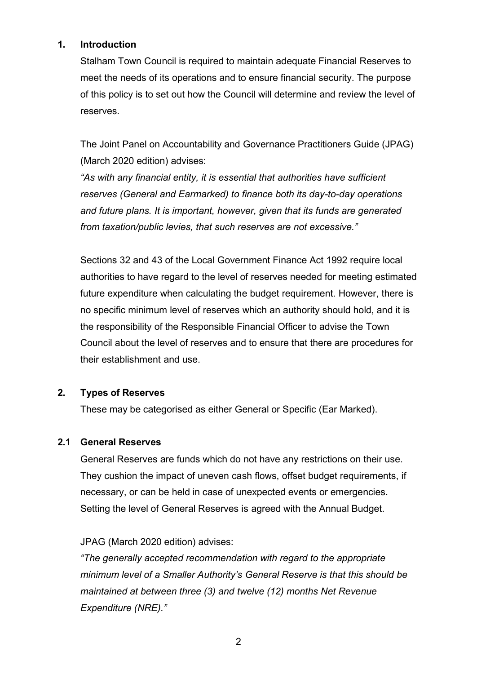#### **1. Introduction**

Stalham Town Council is required to maintain adequate Financial Reserves to meet the needs of its operations and to ensure financial security. The purpose of this policy is to set out how the Council will determine and review the level of reserves.

The Joint Panel on Accountability and Governance Practitioners Guide (JPAG) (March 2020 edition) advises:

*"As with any financial entity, it is essential that authorities have sufficient reserves (General and Earmarked) to finance both its day-to-day operations and future plans. It is important, however, given that its funds are generated from taxation/public levies, that such reserves are not excessive."*

Sections 32 and 43 of the Local Government Finance Act 1992 require local authorities to have regard to the level of reserves needed for meeting estimated future expenditure when calculating the budget requirement. However, there is no specific minimum level of reserves which an authority should hold, and it is the responsibility of the Responsible Financial Officer to advise the Town Council about the level of reserves and to ensure that there are procedures for their establishment and use.

# **2. Types of Reserves**

These may be categorised as either General or Specific (Ear Marked).

# **2.1 General Reserves**

General Reserves are funds which do not have any restrictions on their use. They cushion the impact of uneven cash flows, offset budget requirements, if necessary, or can be held in case of unexpected events or emergencies. Setting the level of General Reserves is agreed with the Annual Budget.

# JPAG (March 2020 edition) advises:

*"The generally accepted recommendation with regard to the appropriate minimum level of a Smaller Authority's General Reserve is that this should be maintained at between three (3) and twelve (12) months Net Revenue Expenditure (NRE)."*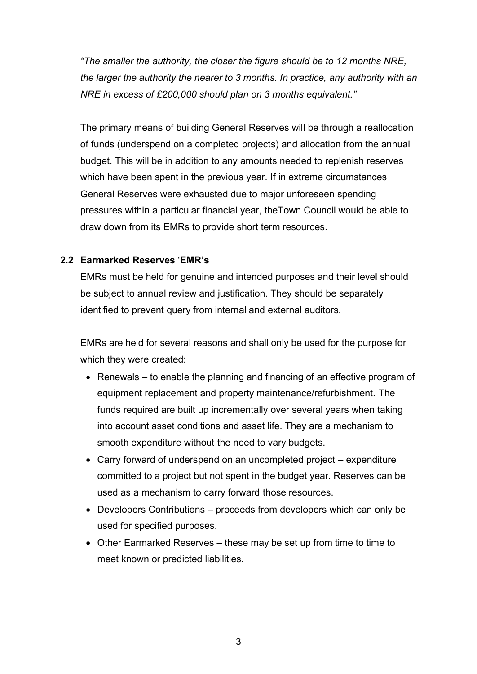*"The smaller the authority, the closer the figure should be to 12 months NRE, the larger the authority the nearer to 3 months. In practice, any authority with an NRE in excess of £200,000 should plan on 3 months equivalent."*

The primary means of building General Reserves will be through a reallocation of funds (underspend on a completed projects) and allocation from the annual budget. This will be in addition to any amounts needed to replenish reserves which have been spent in the previous year. If in extreme circumstances General Reserves were exhausted due to major unforeseen spending pressures within a particular financial year, theTown Council would be able to draw down from its EMRs to provide short term resources.

#### **2.2 Earmarked Reserves** '**EMR's**

EMRs must be held for genuine and intended purposes and their level should be subject to annual review and justification. They should be separately identified to prevent query from internal and external auditors.

EMRs are held for several reasons and shall only be used for the purpose for which they were created:

- Renewals to enable the planning and financing of an effective program of equipment replacement and property maintenance/refurbishment. The funds required are built up incrementally over several years when taking into account asset conditions and asset life. They are a mechanism to smooth expenditure without the need to vary budgets.
- Carry forward of underspend on an uncompleted project expenditure committed to a project but not spent in the budget year. Reserves can be used as a mechanism to carry forward those resources.
- Developers Contributions proceeds from developers which can only be used for specified purposes.
- Other Earmarked Reserves these may be set up from time to time to meet known or predicted liabilities.